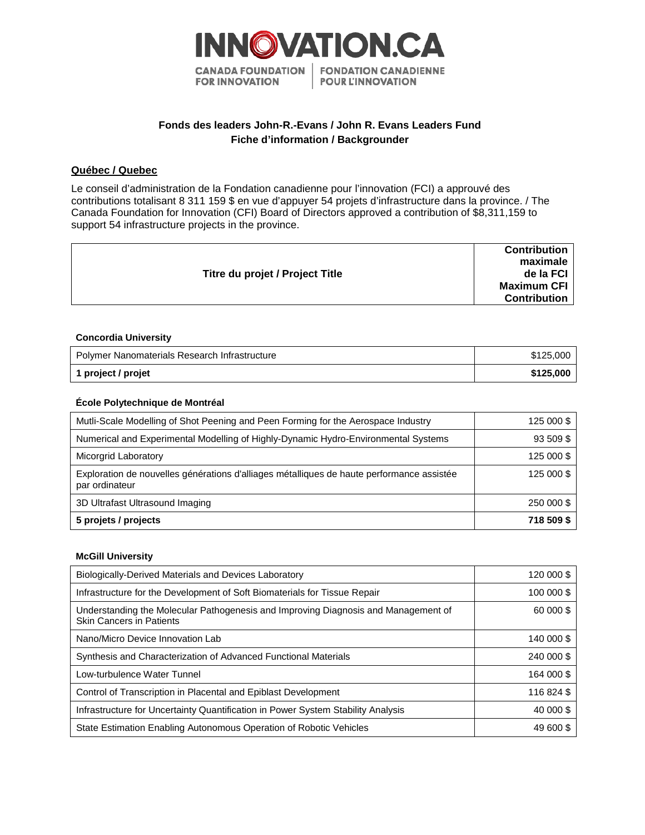

# **Fonds des leaders John-R.-Evans / John R. Evans Leaders Fund Fiche d'information / Backgrounder**

## **Québec / Quebec**

Le conseil d'administration de la Fondation canadienne pour l'innovation (FCI) a approuvé des contributions totalisant 8 311 159 \$ en vue d'appuyer 54 projets d'infrastructure dans la province. / The Canada Foundation for Innovation (CFI) Board of Directors approved a contribution of \$8,311,159 to support 54 infrastructure projects in the province.

|                                 | <b>Contribution</b><br>maximale |
|---------------------------------|---------------------------------|
| Titre du projet / Project Title | de la FCI                       |
|                                 | <b>Maximum CFI</b>              |
|                                 | <b>Contribution</b>             |
|                                 |                                 |

### **Concordia University**

| Polymer Nanomaterials Research Infrastructure | \$125,000 |
|-----------------------------------------------|-----------|
| 1 project / projet                            | \$125,000 |

## **École Polytechnique de Montréal**

| Mutli-Scale Modelling of Shot Peening and Peen Forming for the Aerospace Industry                           | 125 000 \$ |
|-------------------------------------------------------------------------------------------------------------|------------|
| Numerical and Experimental Modelling of Highly-Dynamic Hydro-Environmental Systems                          | 93 509 \$  |
| Micorgrid Laboratory                                                                                        | 125 000 \$ |
| Exploration de nouvelles générations d'alliages métalliques de haute performance assistée<br>par ordinateur | 125 000 \$ |
| 3D Ultrafast Ultrasound Imaging                                                                             | 250 000 \$ |
| 5 projets / projects                                                                                        | 718 509 \$ |

### **McGill University**

| Biologically-Derived Materials and Devices Laboratory                                                                 | 120 000 \$ |
|-----------------------------------------------------------------------------------------------------------------------|------------|
| Infrastructure for the Development of Soft Biomaterials for Tissue Repair                                             | 100 000 \$ |
| Understanding the Molecular Pathogenesis and Improving Diagnosis and Management of<br><b>Skin Cancers in Patients</b> | 60 000 \$  |
| Nano/Micro Device Innovation Lab                                                                                      | 140 000 \$ |
| Synthesis and Characterization of Advanced Functional Materials                                                       | 240 000 \$ |
| Low-turbulence Water Tunnel                                                                                           | 164 000 \$ |
| Control of Transcription in Placental and Epiblast Development                                                        | 116 824 \$ |
| Infrastructure for Uncertainty Quantification in Power System Stability Analysis                                      | 40 000 \$  |
| State Estimation Enabling Autonomous Operation of Robotic Vehicles                                                    | 49 600 \$  |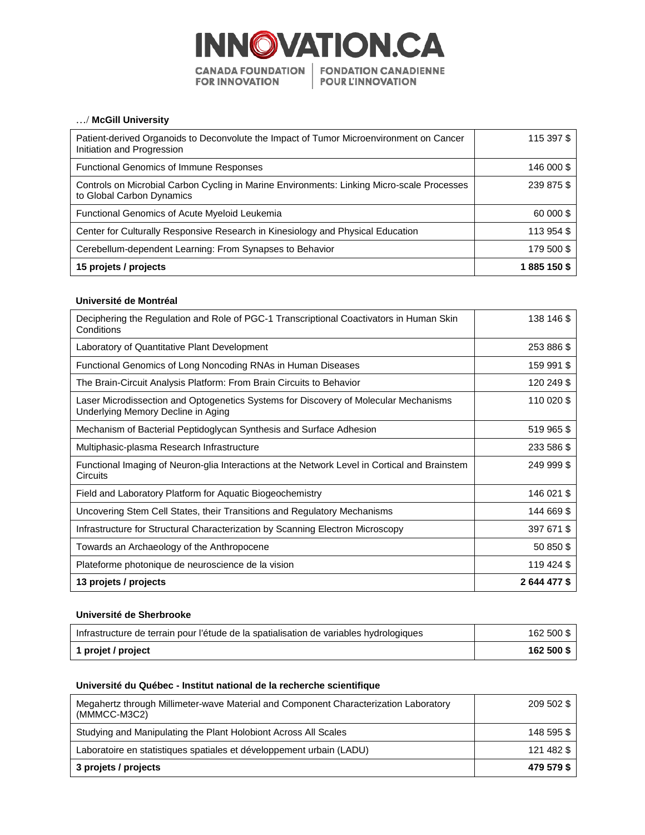

## …/ **McGill University**

| Patient-derived Organoids to Deconvolute the Impact of Tumor Microenvironment on Cancer<br>Initiation and Progression   | 115 397 \$  |
|-------------------------------------------------------------------------------------------------------------------------|-------------|
| <b>Functional Genomics of Immune Responses</b>                                                                          | 146 000 \$  |
| Controls on Microbial Carbon Cycling in Marine Environments: Linking Micro-scale Processes<br>to Global Carbon Dynamics | 239 875 \$  |
| <b>Functional Genomics of Acute Myeloid Leukemia</b>                                                                    | 60 000 \$   |
| Center for Culturally Responsive Research in Kinesiology and Physical Education                                         | 113 954 \$  |
| Cerebellum-dependent Learning: From Synapses to Behavior                                                                | 179 500 \$  |
| 15 projets / projects                                                                                                   | 1885 150 \$ |

### **Université de Montréal**

| Deciphering the Regulation and Role of PGC-1 Transcriptional Coactivators in Human Skin<br>Conditions                      | 138 146 \$   |
|----------------------------------------------------------------------------------------------------------------------------|--------------|
| Laboratory of Quantitative Plant Development                                                                               | 253 886 \$   |
| Functional Genomics of Long Noncoding RNAs in Human Diseases                                                               | 159 991 \$   |
| The Brain-Circuit Analysis Platform: From Brain Circuits to Behavior                                                       | 120 249 \$   |
| Laser Microdissection and Optogenetics Systems for Discovery of Molecular Mechanisms<br>Underlying Memory Decline in Aging | 110 020 \$   |
| Mechanism of Bacterial Peptidoglycan Synthesis and Surface Adhesion                                                        | 519 965 \$   |
| Multiphasic-plasma Research Infrastructure                                                                                 | 233 586 \$   |
| Functional Imaging of Neuron-glia Interactions at the Network Level in Cortical and Brainstem<br>Circuits                  | 249 999 \$   |
| Field and Laboratory Platform for Aquatic Biogeochemistry                                                                  | 146 021 \$   |
| Uncovering Stem Cell States, their Transitions and Regulatory Mechanisms                                                   | 144 669 \$   |
| Infrastructure for Structural Characterization by Scanning Electron Microscopy                                             | 397 671 \$   |
| Towards an Archaeology of the Anthropocene                                                                                 | 50 850 \$    |
| Plateforme photonique de neuroscience de la vision                                                                         | 119 424 \$   |
| 13 projets / projects                                                                                                      | 2 644 477 \$ |

## **Université de Sherbrooke**

| Infrastructure de terrain pour l'étude de la spatialisation de variables hydrologiques | 162 500 \$ |
|----------------------------------------------------------------------------------------|------------|
| 1 projet / project                                                                     | 162 500 \$ |

## **Université du Québec - Institut national de la recherche scientifique**

| Megahertz through Millimeter-wave Material and Component Characterization Laboratory<br>(MMMCC-M3C2) | 209 502 \$ |
|------------------------------------------------------------------------------------------------------|------------|
| Studying and Manipulating the Plant Holobiont Across All Scales                                      | 148 595 \$ |
| Laboratoire en statistiques spatiales et développement urbain (LADU)                                 | 121 482 \$ |
| 3 projets / projects                                                                                 | 479 579 \$ |